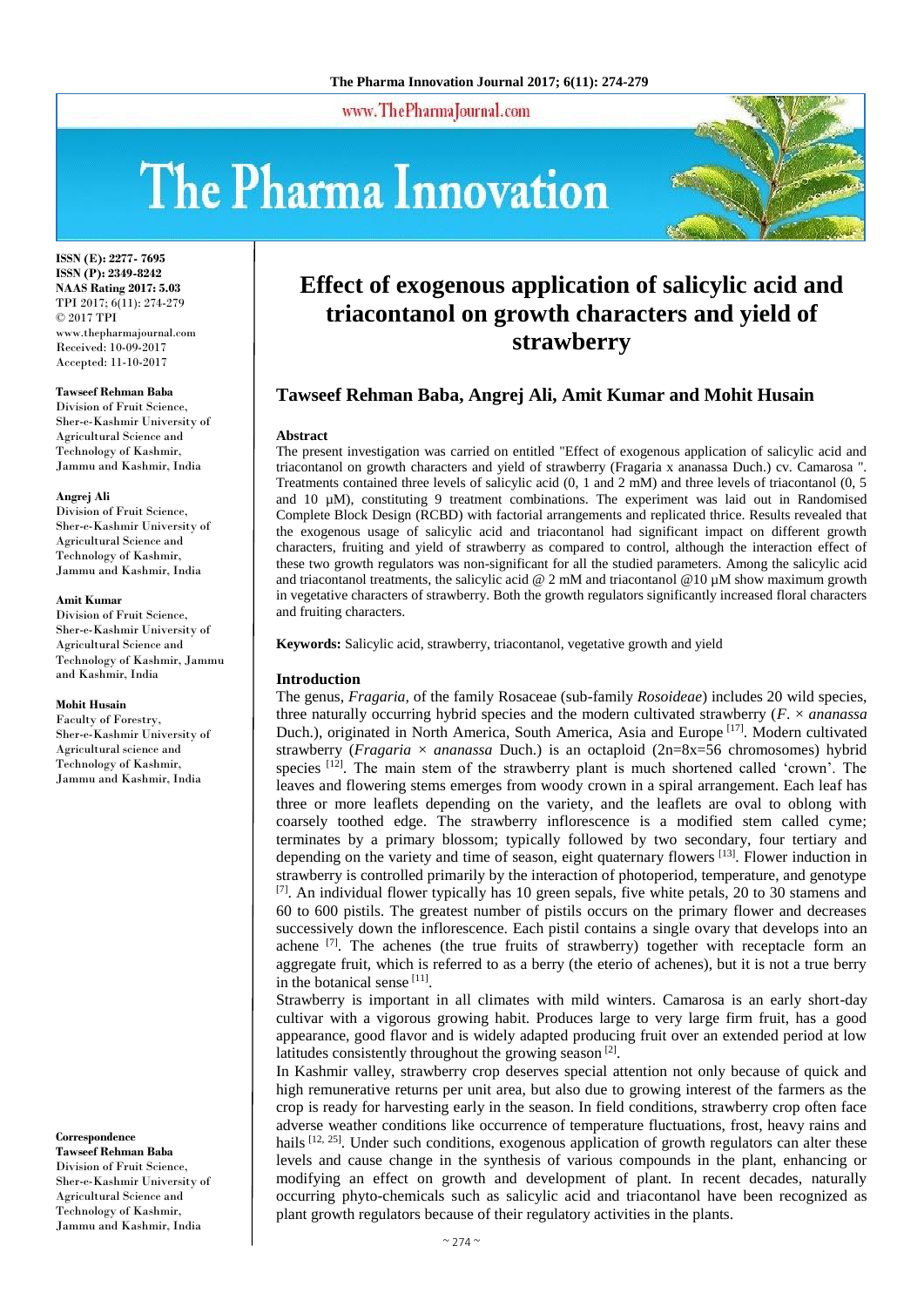www.ThePharmaJournal.com

# The Pharma Innovation



**ISSN (E): 2277- 7695 ISSN (P): 2349-8242 NAAS Rating 2017: 5.03** TPI 2017; 6(11): 274-279 © 2017 TPI www.thepharmajournal.com Received: 10-09-2017 Accepted: 11-10-2017

#### **Tawseef Rehman Baba**

Division of Fruit Science, Sher-e-Kashmir University of Agricultural Science and Technology of Kashmir, Jammu and Kashmir, India

#### **Angrej Ali**

Division of Fruit Science, Sher-e-Kashmir University of Agricultural Science and Technology of Kashmir, Jammu and Kashmir, India

#### **Amit Kumar**

Division of Fruit Science, Sher-e-Kashmir University of Agricultural Science and Technology of Kashmir, Jammu and Kashmir, India

#### **Mohit Husain**

Faculty of Forestry, Sher-e-Kashmir University of Agricultural science and Technology of Kashmir, Jammu and Kashmir, India

#### **Correspondence**

**Tawseef Rehman Baba** Division of Fruit Science, Sher-e-Kashmir University of Agricultural Science and Technology of Kashmir, Jammu and Kashmir, India

# **Effect of exogenous application of salicylic acid and triacontanol on growth characters and yield of strawberry**

# **Tawseef Rehman Baba, Angrej Ali, Amit Kumar and Mohit Husain**

#### **Abstract**

The present investigation was carried on entitled "Effect of exogenous application of salicylic acid and triacontanol on growth characters and yield of strawberry (Fragaria x ananassa Duch.) cv. Camarosa ". Treatments contained three levels of salicylic acid (0, 1 and 2 mM) and three levels of triacontanol (0, 5 and 10 µM), constituting 9 treatment combinations. The experiment was laid out in Randomised Complete Block Design (RCBD) with factorial arrangements and replicated thrice. Results revealed that the exogenous usage of salicylic acid and triacontanol had significant impact on different growth characters, fruiting and yield of strawberry as compared to control, although the interaction effect of these two growth regulators was non-significant for all the studied parameters. Among the salicylic acid and triacontanol treatments, the salicylic acid  $@$  2 mM and triacontanol  $@$  10  $\mu$ M show maximum growth in vegetative characters of strawberry. Both the growth regulators significantly increased floral characters and fruiting characters.

**Keywords:** Salicylic acid, strawberry, triacontanol, vegetative growth and yield

#### **Introduction**

The genus, *Fragaria,* of the family Rosaceae (sub-family *Rosoideae*) includes 20 wild species, three naturally occurring hybrid species and the modern cultivated strawberry (*F*. × *ananassa*  Duch.), originated in North America, South America, Asia and Europe<sup>[17]</sup>. Modern cultivated strawberry (*Fragaria* × *ananassa* Duch.) is an octaploid (2n=8x=56 chromosomes) hybrid species  $[12]$ . The main stem of the strawberry plant is much shortened called 'crown'. The leaves and flowering stems emerges from woody crown in a spiral arrangement. Each leaf has three or more leaflets depending on the variety, and the leaflets are oval to oblong with coarsely toothed edge. The strawberry inflorescence is a modified stem called cyme; terminates by a primary blossom; typically followed by two secondary, four tertiary and depending on the variety and time of season, eight quaternary flowers  $[13]$ . Flower induction in strawberry is controlled primarily by the interaction of photoperiod, temperature, and genotype  $^{[7]}$ . An individual flower typically has 10 green sepals, five white petals, 20 to 30 stamens and 60 to 600 pistils. The greatest number of pistils occurs on the primary flower and decreases successively down the inflorescence. Each pistil contains a single ovary that develops into an achene [7]. The achenes (the true fruits of strawberry) together with receptacle form an aggregate fruit, which is referred to as a berry (the eterio of achenes), but it is not a true berry in the botanical sense [11].

Strawberry is important in all climates with mild winters. Camarosa is an early short-day cultivar with a vigorous growing habit. Produces large to very large firm fruit, has a good appearance, good flavor and is widely adapted producing fruit over an extended period at low latitudes consistently throughout the growing season<sup>[2]</sup>.

In Kashmir valley, strawberry crop deserves special attention not only because of quick and high remunerative returns per unit area, but also due to growing interest of the farmers as the crop is ready for harvesting early in the season. In field conditions, strawberry crop often face adverse weather conditions like occurrence of temperature fluctuations, frost, heavy rains and hails  $[12, 25]$ . Under such conditions, exogenous application of growth regulators can alter these levels and cause change in the synthesis of various compounds in the plant, enhancing or modifying an effect on growth and development of plant. In recent decades, naturally occurring phyto-chemicals such as salicylic acid and triacontanol have been recognized as plant growth regulators because of their regulatory activities in the plants.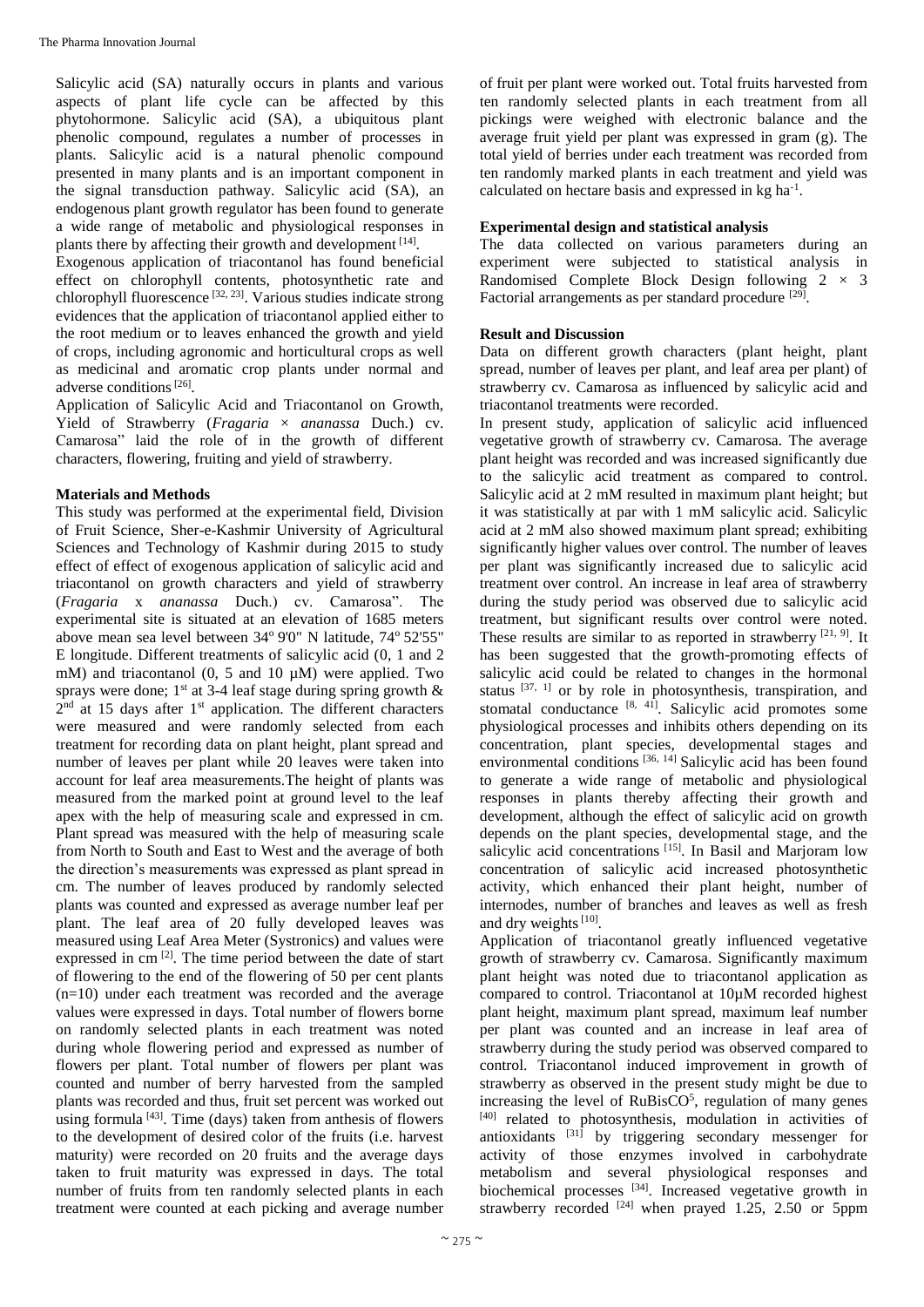Salicylic acid (SA) naturally occurs in plants and various aspects of plant life cycle can be affected by this phytohormone. Salicylic acid (SA), a ubiquitous plant phenolic compound, regulates a number of processes in plants. Salicylic acid is a natural phenolic compound presented in many plants and is an important component in the signal transduction pathway. Salicylic acid (SA), an endogenous plant growth regulator has been found to generate a wide range of metabolic and physiological responses in plants there by affecting their growth and development [14].

Exogenous application of triacontanol has found beneficial effect on chlorophyll contents, photosynthetic rate and chlorophyll fluorescence<sup>[32, 23]</sup>. Various studies indicate strong evidences that the application of triacontanol applied either to the root medium or to leaves enhanced the growth and yield of crops, including agronomic and horticultural crops as well as medicinal and aromatic crop plants under normal and adverse conditions<sup>[26]</sup>.

Application of Salicylic Acid and Triacontanol on Growth, Yield of Strawberry (*Fragaria* × *ananassa* Duch.) cv. Camarosa" laid the role of in the growth of different characters, flowering, fruiting and yield of strawberry.

# **Materials and Methods**

This study was performed at the experimental field, Division of Fruit Science, Sher-e-Kashmir University of Agricultural Sciences and Technology of Kashmir during 2015 to study effect of effect of exogenous application of salicylic acid and triacontanol on growth characters and yield of strawberry (*Fragaria* x *ananassa* Duch.) cv. Camarosa". The experimental site is situated at an elevation of 1685 meters above mean sea level between 34° 9'0" N latitude, 74° 52'55" E longitude. Different treatments of salicylic acid (0, 1 and 2 mM) and triacontanol  $(0, 5 \text{ and } 10 \mu)$  were applied. Two sprays were done;  $1^{st}$  at 3-4 leaf stage during spring growth  $\&$  $2<sup>nd</sup>$  at 15 days after 1<sup>st</sup> application. The different characters were measured and were randomly selected from each treatment for recording data on plant height, plant spread and number of leaves per plant while 20 leaves were taken into account for leaf area measurements.The height of plants was measured from the marked point at ground level to the leaf apex with the help of measuring scale and expressed in cm. Plant spread was measured with the help of measuring scale from North to South and East to West and the average of both the direction's measurements was expressed as plant spread in cm. The number of leaves produced by randomly selected plants was counted and expressed as average number leaf per plant. The leaf area of 20 fully developed leaves was measured using Leaf Area Meter (Systronics) and values were expressed in cm<sup>[2]</sup>. The time period between the date of start of flowering to the end of the flowering of 50 per cent plants (n=10) under each treatment was recorded and the average values were expressed in days. Total number of flowers borne on randomly selected plants in each treatment was noted during whole flowering period and expressed as number of flowers per plant. Total number of flowers per plant was counted and number of berry harvested from the sampled plants was recorded and thus, fruit set percent was worked out using formula  $[43]$ . Time (days) taken from anthesis of flowers to the development of desired color of the fruits (i.e. harvest maturity) were recorded on 20 fruits and the average days taken to fruit maturity was expressed in days. The total number of fruits from ten randomly selected plants in each treatment were counted at each picking and average number

of fruit per plant were worked out. Total fruits harvested from ten randomly selected plants in each treatment from all pickings were weighed with electronic balance and the average fruit yield per plant was expressed in gram (g). The total yield of berries under each treatment was recorded from ten randomly marked plants in each treatment and yield was calculated on hectare basis and expressed in kg ha<sup>-1</sup>.

# **Experimental design and statistical analysis**

The data collected on various parameters during an experiment were subjected to statistical analysis in Randomised Complete Block Design following  $2 \times 3$ Factorial arrangements as per standard procedure [29].

# **Result and Discussion**

Data on different growth characters (plant height, plant spread, number of leaves per plant, and leaf area per plant) of strawberry cv. Camarosa as influenced by salicylic acid and triacontanol treatments were recorded.

In present study, application of salicylic acid influenced vegetative growth of strawberry cv. Camarosa. The average plant height was recorded and was increased significantly due to the salicylic acid treatment as compared to control. Salicylic acid at 2 mM resulted in maximum plant height; but it was statistically at par with 1 mM salicylic acid. Salicylic acid at 2 mM also showed maximum plant spread; exhibiting significantly higher values over control. The number of leaves per plant was significantly increased due to salicylic acid treatment over control. An increase in leaf area of strawberry during the study period was observed due to salicylic acid treatment, but significant results over control were noted. These results are similar to as reported in strawberry  $[21, 9]$ . It has been suggested that the growth-promoting effects of salicylic acid could be related to changes in the hormonal status  $[37, 1]$  or by role in photosynthesis, transpiration, and stomatal conductance  $[8, 41]$ . Salicylic acid promotes some physiological processes and inhibits others depending on its concentration, plant species, developmental stages and environmental conditions [36, 14] Salicylic acid has been found to generate a wide range of metabolic and physiological responses in plants thereby affecting their growth and development, although the effect of salicylic acid on growth depends on the plant species, developmental stage, and the salicylic acid concentrations<sup>[15]</sup>. In Basil and Marjoram low concentration of salicylic acid increased photosynthetic activity, which enhanced their plant height, number of internodes, number of branches and leaves as well as fresh and dry weights  $[10]$ .

Application of triacontanol greatly influenced vegetative growth of strawberry cv. Camarosa. Significantly maximum plant height was noted due to triacontanol application as compared to control. Triacontanol at 10µM recorded highest plant height, maximum plant spread, maximum leaf number per plant was counted and an increase in leaf area of strawberry during the study period was observed compared to control. Triacontanol induced improvement in growth of strawberry as observed in the present study might be due to increasing the level of  $RuBisCO<sup>5</sup>$ , regulation of many genes [40] related to photosynthesis, modulation in activities of antioxidants [31] by triggering secondary messenger for activity of those enzymes involved in carbohydrate metabolism and several physiological responses and biochemical processes [34]. Increased vegetative growth in strawberry recorded  $[24]$  when prayed 1.25, 2.50 or 5ppm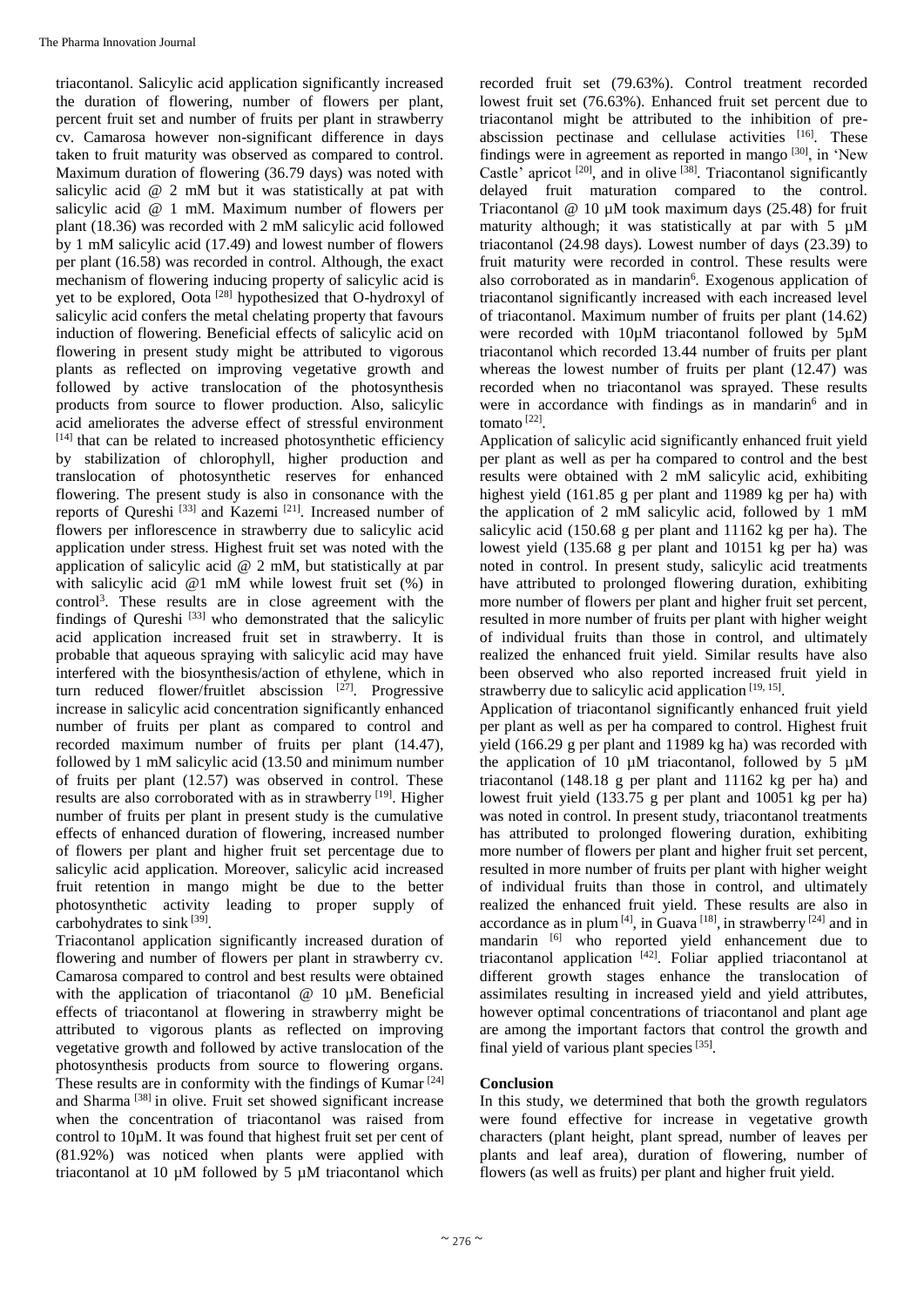triacontanol. Salicylic acid application significantly increased the duration of flowering, number of flowers per plant, percent fruit set and number of fruits per plant in strawberry cv. Camarosa however non-significant difference in days taken to fruit maturity was observed as compared to control. Maximum duration of flowering (36.79 days) was noted with salicylic acid @ 2 mM but it was statistically at pat with salicylic acid @ 1 mM. Maximum number of flowers per plant (18.36) was recorded with 2 mM salicylic acid followed by 1 mM salicylic acid (17.49) and lowest number of flowers per plant (16.58) was recorded in control. Although, the exact mechanism of flowering inducing property of salicylic acid is yet to be explored, Oota<sup>[28]</sup> hypothesized that O-hydroxyl of salicylic acid confers the metal chelating property that favours induction of flowering. Beneficial effects of salicylic acid on flowering in present study might be attributed to vigorous plants as reflected on improving vegetative growth and followed by active translocation of the photosynthesis products from source to flower production. Also, salicylic acid ameliorates the adverse effect of stressful environment [14] that can be related to increased photosynthetic efficiency by stabilization of chlorophyll, higher production and translocation of photosynthetic reserves for enhanced flowering. The present study is also in consonance with the reports of Qureshi<sup>[33]</sup> and Kazemi<sup>[21]</sup>. Increased number of flowers per inflorescence in strawberry due to salicylic acid application under stress. Highest fruit set was noted with the application of salicylic acid @ 2 mM, but statistically at par with salicylic acid @1 mM while lowest fruit set (%) in control<sup>3</sup> . These results are in close agreement with the findings of Qureshi [33] who demonstrated that the salicylic acid application increased fruit set in strawberry. It is probable that aqueous spraying with salicylic acid may have interfered with the biosynthesis/action of ethylene, which in turn reduced flower/fruitlet abscission [27]. Progressive increase in salicylic acid concentration significantly enhanced number of fruits per plant as compared to control and recorded maximum number of fruits per plant (14.47), followed by 1 mM salicylic acid (13.50 and minimum number of fruits per plant (12.57) was observed in control. These results are also corroborated with as in strawberry [19]. Higher number of fruits per plant in present study is the cumulative effects of enhanced duration of flowering, increased number of flowers per plant and higher fruit set percentage due to salicylic acid application. Moreover, salicylic acid increased fruit retention in mango might be due to the better photosynthetic activity leading to proper supply of carbohydrates to sink<sup>[39]</sup>.

Triacontanol application significantly increased duration of flowering and number of flowers per plant in strawberry cv. Camarosa compared to control and best results were obtained with the application of triacontanol @ 10 µM. Beneficial effects of triacontanol at flowering in strawberry might be attributed to vigorous plants as reflected on improving vegetative growth and followed by active translocation of the photosynthesis products from source to flowering organs. These results are in conformity with the findings of Kumar  $^{[24]}$ and Sharma<sup>[38]</sup> in olive. Fruit set showed significant increase when the concentration of triacontanol was raised from control to 10µM. It was found that highest fruit set per cent of (81.92%) was noticed when plants were applied with triacontanol at 10 µM followed by 5 µM triacontanol which

recorded fruit set (79.63%). Control treatment recorded lowest fruit set (76.63%). Enhanced fruit set percent due to triacontanol might be attributed to the inhibition of preabscission pectinase and cellulase activities [16]. These findings were in agreement as reported in mango  $[30]$ , in 'New Castle' apricot<sup>[20]</sup>, and in olive<sup>[38]</sup>. Triacontanol significantly delayed fruit maturation compared to the control. Triacontanol @ 10 µM took maximum days (25.48) for fruit maturity although; it was statistically at par with 5  $\mu$ M triacontanol (24.98 days). Lowest number of days (23.39) to fruit maturity were recorded in control. These results were also corroborated as in mandarin<sup>6</sup>. Exogenous application of triacontanol significantly increased with each increased level of triacontanol. Maximum number of fruits per plant (14.62) were recorded with 10µM triacontanol followed by 5µM triacontanol which recorded 13.44 number of fruits per plant whereas the lowest number of fruits per plant (12.47) was recorded when no triacontanol was sprayed. These results were in accordance with findings as in mandarin<sup>6</sup> and in tomato [22] .

Application of salicylic acid significantly enhanced fruit yield per plant as well as per ha compared to control and the best results were obtained with 2 mM salicylic acid, exhibiting highest yield (161.85 g per plant and 11989 kg per ha) with the application of 2 mM salicylic acid, followed by 1 mM salicylic acid (150.68 g per plant and 11162 kg per ha). The lowest yield (135.68 g per plant and 10151 kg per ha) was noted in control. In present study, salicylic acid treatments have attributed to prolonged flowering duration, exhibiting more number of flowers per plant and higher fruit set percent, resulted in more number of fruits per plant with higher weight of individual fruits than those in control, and ultimately realized the enhanced fruit yield. Similar results have also been observed who also reported increased fruit yield in strawberry due to salicylic acid application [19, 15].

Application of triacontanol significantly enhanced fruit yield per plant as well as per ha compared to control. Highest fruit yield (166.29 g per plant and 11989 kg ha) was recorded with the application of 10  $\mu$ M triacontanol, followed by 5  $\mu$ M triacontanol (148.18 g per plant and 11162 kg per ha) and lowest fruit yield (133.75 g per plant and 10051 kg per ha) was noted in control. In present study, triacontanol treatments has attributed to prolonged flowering duration, exhibiting more number of flowers per plant and higher fruit set percent, resulted in more number of fruits per plant with higher weight of individual fruits than those in control, and ultimately realized the enhanced fruit yield. These results are also in accordance as in plum<sup>[4]</sup>, in Guava<sup>[18]</sup>, in strawberry<sup>[24]</sup> and in mandarin <sup>[6]</sup> who reported yield enhancement due to triacontanol application [42] . Foliar applied triacontanol at different growth stages enhance the translocation of assimilates resulting in increased yield and yield attributes, however optimal concentrations of triacontanol and plant age are among the important factors that control the growth and final yield of various plant species<sup>[35]</sup>.

# **Conclusion**

In this study, we determined that both the growth regulators were found effective for increase in vegetative growth characters (plant height, plant spread, number of leaves per plants and leaf area), duration of flowering, number of flowers (as well as fruits) per plant and higher fruit yield.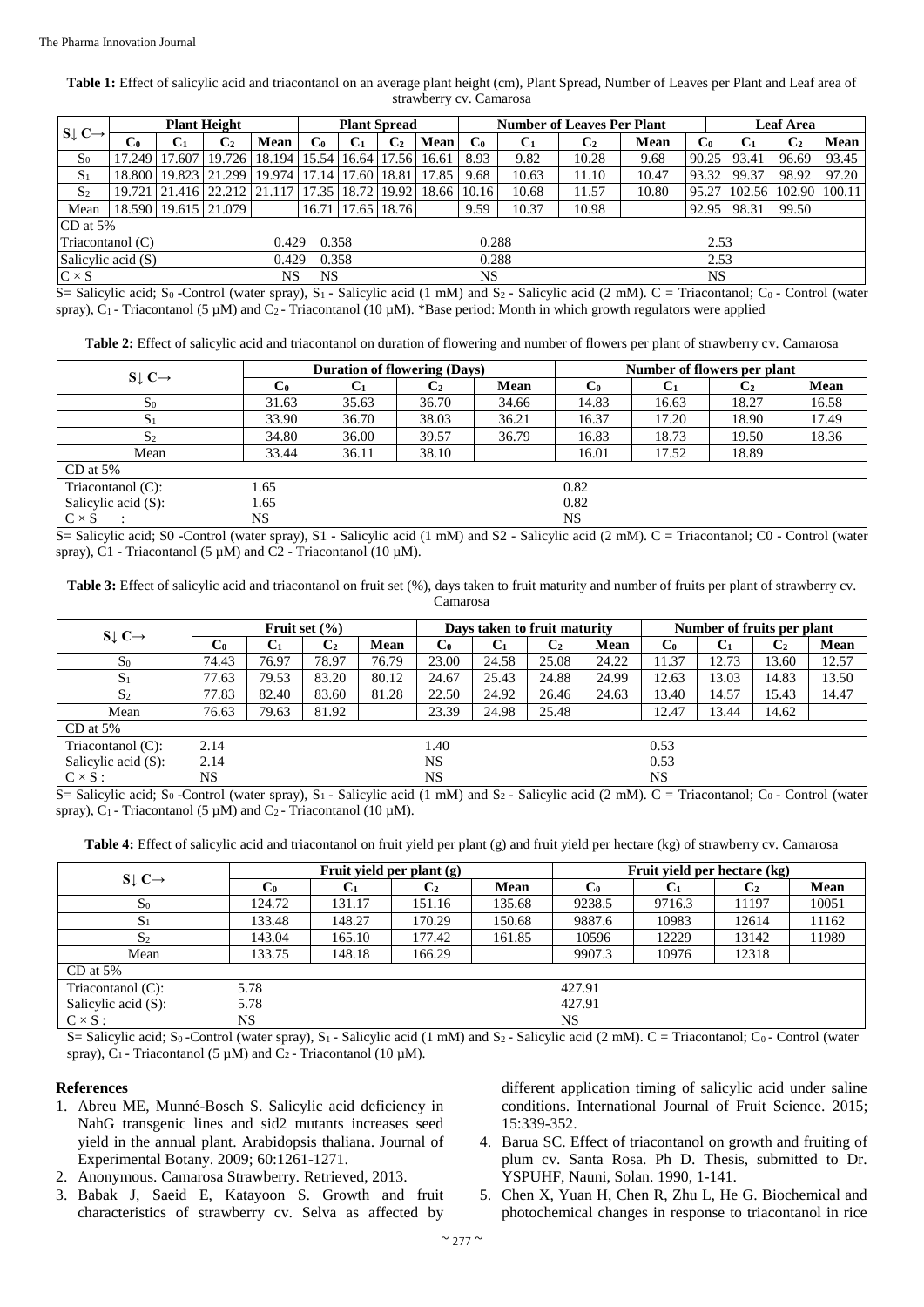**Table 1:** Effect of salicylic acid and triacontanol on an average plant height (cm), Plant Spread, Number of Leaves per Plant and Leaf area of strawberry cv. Camarosa

| $S \downarrow C \rightarrow$                          | <b>Plant Height</b> |                |                                                  |                | <b>Plant Spread</b> |                       |                | <b>Number of Leaves Per Plant</b> |                |                |                |           | <b>Leaf Area</b> |                      |                |       |
|-------------------------------------------------------|---------------------|----------------|--------------------------------------------------|----------------|---------------------|-----------------------|----------------|-----------------------------------|----------------|----------------|----------------|-----------|------------------|----------------------|----------------|-------|
|                                                       | $\mathbf{C}_0$      | C <sub>1</sub> | C <sub>2</sub>                                   | Mean           | C0                  | C <sub>1</sub>        | $\mathbf{C}_2$ | Mean                              | $\mathbf{C}_0$ | $\mathbf{C}_1$ | $\mathbf{C}_2$ | Mean      | $\mathbf{C}_0$   | C <sub>1</sub>       | $\mathbf{C}_2$ | Mean  |
| S <sub>0</sub>                                        | 17.249              | 17.607         | 19.726                                           | 18.194   15.54 |                     |                       | 16.64 17.56    | 16.61                             | 8.93           | 9.82           | 10.28          | 9.68      | 90.25            | 93.41                | 96.69          | 93.45 |
| $S_1$                                                 | 18.800              |                | 19.823   21.299   19.974   17.14   17.60   18.81 |                |                     |                       |                | 17.85                             | 9.68           | 10.63          | 11.10          | 10.47     | 93.32            | 99.37                | 98.92          | 97.20 |
| S <sub>2</sub>                                        | 19.721              |                | 21.416 22.212 21.117                             |                |                     | 17.35   18.72   19.92 |                | 18.66                             | 10.16          | 10.68          | 11.57          | 10.80     | 95.27            | 102.56 102.90 100.11 |                |       |
| Mean                                                  |                     |                | 18.590   19.615   21.079                         |                |                     | 16.71   17.65   18.76 |                |                                   | 9.59           | 10.37          | 10.98          |           | 92.95            | 98.31                | 99.50          |       |
|                                                       | CD at 5%            |                |                                                  |                |                     |                       |                |                                   |                |                |                |           |                  |                      |                |       |
| Triacontanol (C)<br>0.429                             |                     |                |                                                  | 0.358          |                     |                       |                | 0.288                             |                |                |                | 2.53      |                  |                      |                |       |
| Salicylic acid (S)<br>0.288<br>2.53<br>0.429<br>0.358 |                     |                |                                                  |                |                     |                       |                |                                   |                |                |                |           |                  |                      |                |       |
| $C \times S$                                          |                     |                |                                                  | NS             | NS                  |                       |                |                                   | NS             |                |                | <b>NS</b> |                  |                      |                |       |

S= Salicylic acid; S<sub>0</sub> -Control (water spray), S<sub>1</sub> - Salicylic acid (1 mM) and S<sub>2</sub> - Salicylic acid (2 mM). C = Triacontanol; C<sub>0</sub> - Control (water spray),  $C_1$  - Triacontanol (5 µM) and  $C_2$  - Triacontanol (10 µM). \*Base period: Month in which growth regulators were applied

T**able 2:** Effect of salicylic acid and triacontanol on duration of flowering and number of flowers per plant of strawberry cv. Camarosa

|                              |                | <b>Duration of flowering (Days)</b> |                |       | Number of flowers per plant |                |           |       |  |
|------------------------------|----------------|-------------------------------------|----------------|-------|-----------------------------|----------------|-----------|-------|--|
| $S \downarrow C \rightarrow$ | $\mathbf{C}_0$ | Ù1                                  | $\mathbb{C}_2$ | Mean  | $\mathbf{C}_0$              | C <sub>1</sub> | $\bf C_2$ | Mean  |  |
| $S_0$                        | 31.63          | 35.63                               | 36.70          | 34.66 | 14.83                       | 16.63          | 18.27     | 16.58 |  |
| S <sub>1</sub>               | 33.90          | 36.70                               | 38.03          | 36.21 | 16.37                       | 17.20          | 18.90     | 17.49 |  |
| S <sub>2</sub>               | 34.80          | 36.00                               | 39.57          | 36.79 | 16.83                       | 18.73          | 19.50     | 18.36 |  |
| Mean                         | 33.44          | 36.11                               | 38.10          |       | 16.01                       | 17.52          | 18.89     |       |  |
| $CD$ at 5%                   |                |                                     |                |       |                             |                |           |       |  |
| Triacontanol $(C)$ :         | 1.65<br>0.82   |                                     |                |       |                             |                |           |       |  |
| Salicylic acid (S):          | 1.65           |                                     | 0.82           |       |                             |                |           |       |  |
| $C \times S$                 | NS             |                                     |                |       | NS                          |                |           |       |  |

S= Salicylic acid; S0 -Control (water spray), S1 - Salicylic acid (1 mM) and S2 - Salicylic acid (2 mM). C = Triacontanol; C0 - Control (water spray), C1 - Triacontanol (5 µM) and C2 - Triacontanol (10 µM).

**Table 3:** Effect of salicylic acid and triacontanol on fruit set (%), days taken to fruit maturity and number of fruits per plant of strawberry cv. Camarosa

|                              |                |                | Days taken to fruit maturity |             |           |                | Number of fruits per plant |             |             |       |                |       |
|------------------------------|----------------|----------------|------------------------------|-------------|-----------|----------------|----------------------------|-------------|-------------|-------|----------------|-------|
| $S \downarrow C \rightarrow$ | $\mathbf{C}_0$ | C <sub>1</sub> | $\mathbf{C}_2$               | <b>Mean</b> | C0        | C <sub>1</sub> | C <sub>2</sub>             | <b>Mean</b> | $_{\rm C0}$ | $C_1$ | C <sub>2</sub> | Mean  |
| $S_0$                        | 74.43          | 76.97          | 78.97                        | 76.79       | 23.00     | 24.58          | 25.08                      | 24.22       | 11.37       | 12.73 | 13.60          | 12.57 |
| $S_1$                        | 77.63          | 79.53          | 83.20                        | 80.12       | 24.67     | 25.43          | 24.88                      | 24.99       | 12.63       | 13.03 | 14.83          | 13.50 |
| S <sub>2</sub>               | 77.83          | 82.40          | 83.60                        | 81.28       | 22.50     | 24.92          | 26.46                      | 24.63       | 13.40       | 14.57 | 15.43          | 14.47 |
| Mean                         | 76.63          | 79.63          | 81.92                        |             | 23.39     | 24.98          | 25.48                      |             | 12.47       | 13.44 | 14.62          |       |
| $CD$ at 5%                   |                |                |                              |             |           |                |                            |             |             |       |                |       |
| Triacontanol $(C)$ :         | 2.14           |                |                              |             | 1.40      |                |                            |             | 0.53        |       |                |       |
| Salicylic acid (S):          | 2.14           |                |                              |             | <b>NS</b> |                |                            |             | 0.53        |       |                |       |
| $C \times S$ :               | NS             |                |                              |             | <b>NS</b> |                |                            |             | NS.         |       |                |       |

 $\overline{S}$  = Salicylic acid; S<sub>0</sub> -Control (water spray), S<sub>1</sub> - Salicylic acid (1 mM) and S<sub>2</sub> - Salicylic acid (2 mM). C = Triacontanol; C<sub>0</sub> - Control (water spray),  $C_1$  - Triacontanol (5  $\mu$ M) and  $C_2$  - Triacontanol (10  $\mu$ M).

**Table 4:** Effect of salicylic acid and triacontanol on fruit yield per plant (g) and fruit yield per hectare (kg) of strawberry cv. Camarosa

|                              |                |        | Fruit yield per plant (g) | Fruit yield per hectare (kg) |        |        |                |       |  |
|------------------------------|----------------|--------|---------------------------|------------------------------|--------|--------|----------------|-------|--|
| $S \downarrow C \rightarrow$ | C0             | U1     | $\mathbf{C}_2$            | Mean                         | C0     | U1     | C <sub>2</sub> | Mean  |  |
| $S_0$                        | 124.72         | 131.17 | 151.16                    | 135.68                       | 9238.5 | 9716.3 | 11197          | 10051 |  |
| $S_1$                        | 133.48         | 148.27 | 170.29                    | 150.68                       | 9887.6 | 10983  | 12614          | 11162 |  |
| S <sub>2</sub>               | 143.04         | 165.10 | 177.42                    | 161.85                       | 10596  | 12229  | 13142          | 11989 |  |
| Mean                         | 133.75         | 148.18 | 166.29                    |                              | 9907.3 | 10976  | 12318          |       |  |
| $CD$ at 5%                   |                |        |                           |                              |        |        |                |       |  |
| Triacontanol $(C)$ :         | 5.78<br>427.91 |        |                           |                              |        |        |                |       |  |
| Salicylic acid $(S)$ :       | 5.78           |        |                           |                              | 427.91 |        |                |       |  |
| $C \times S$ :               | NS.            |        |                           | NS.                          |        |        |                |       |  |

S= Salicylic acid; S<sub>0</sub> -Control (water spray), S<sub>1</sub> - Salicylic acid (1 mM) and S<sub>2</sub> - Salicylic acid (2 mM). C = Triacontanol; C<sub>0</sub> - Control (water spray),  $C_1$  - Triacontanol (5  $\mu$ M) and  $C_2$  - Triacontanol (10  $\mu$ M).

### **References**

- 1. Abreu ME, Munné-Bosch S. Salicylic acid deficiency in NahG transgenic lines and sid2 mutants increases seed yield in the annual plant. Arabidopsis thaliana. Journal of Experimental Botany. 2009; 60:1261-1271.
- 2. Anonymous. Camarosa Strawberry*.* Retrieved, 2013.
- 3. Babak J, Saeid E, Katayoon S. Growth and fruit characteristics of strawberry cv. Selva as affected by

different application timing of salicylic acid under saline conditions. International Journal of Fruit Science. 2015; 15:339-352.

- 4. Barua SC. Effect of triacontanol on growth and fruiting of plum cv. Santa Rosa. Ph D. Thesis, submitted to Dr. YSPUHF, Nauni, Solan. 1990, 1-141.
- 5. Chen X, Yuan H, Chen R, Zhu L, He G. Biochemical and photochemical changes in response to triacontanol in rice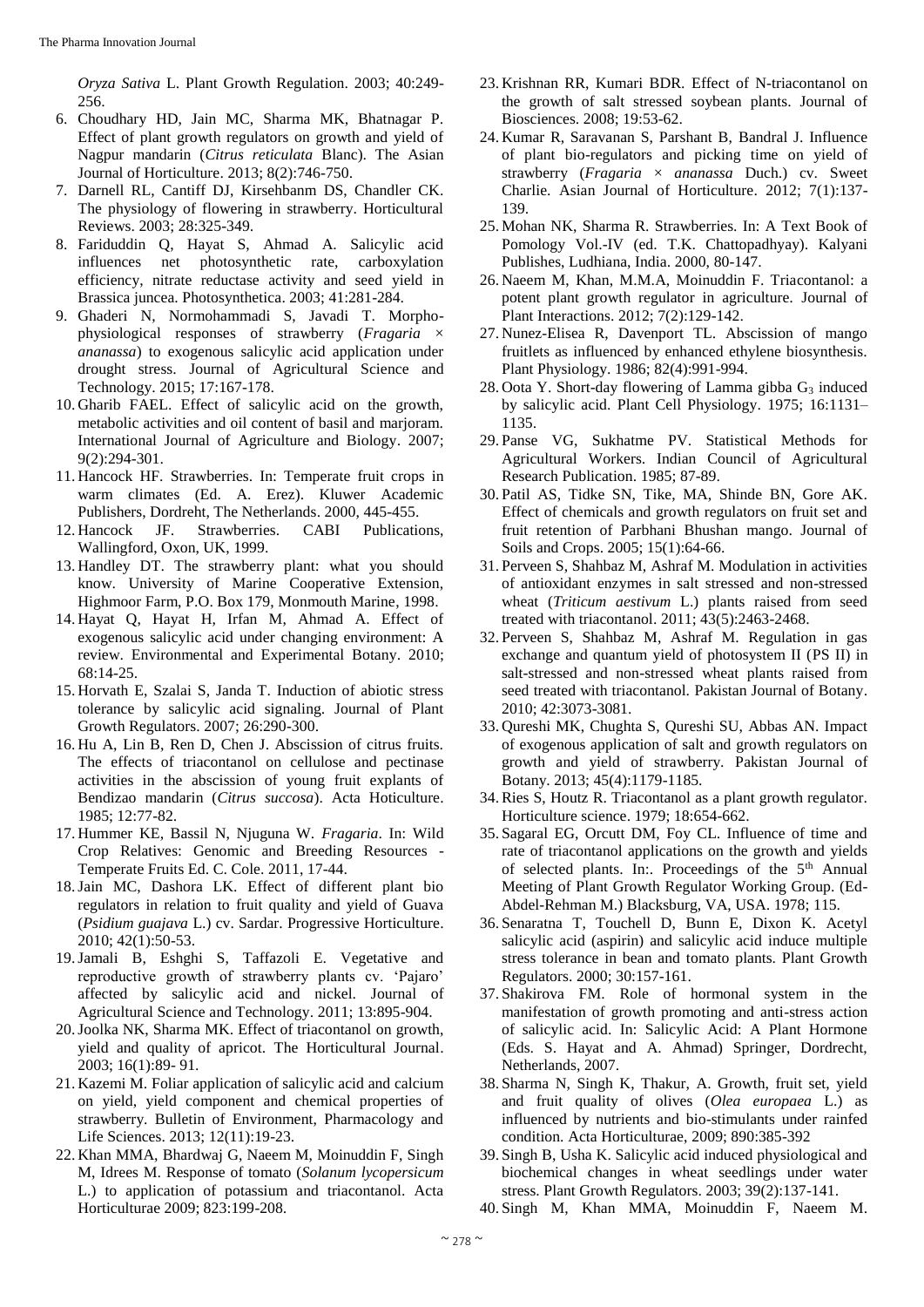*Oryza Sativa* L. Plant Growth Regulation. 2003; 40:249- 256.

- 6. Choudhary HD, Jain MC, Sharma MK, Bhatnagar P. Effect of plant growth regulators on growth and yield of Nagpur mandarin (*Citrus reticulata* Blanc). The Asian Journal of Horticulture. 2013; 8(2):746-750.
- 7. Darnell RL, Cantiff DJ, Kirsehbanm DS, Chandler CK. The physiology of flowering in strawberry. Horticultural Reviews. 2003; 28:325-349.
- 8. Fariduddin Q, Hayat S, Ahmad A. Salicylic acid influences net photosynthetic rate, carboxylation efficiency, nitrate reductase activity and seed yield in Brassica juncea. Photosynthetica. 2003; 41:281-284.
- 9. Ghaderi N, Normohammadi S, Javadi T. Morphophysiological responses of strawberry (*Fragaria* × *ananassa*) to exogenous salicylic acid application under drought stress. Journal of Agricultural Science and Technology. 2015; 17:167-178.
- 10. Gharib FAEL. Effect of salicylic acid on the growth, metabolic activities and oil content of basil and marjoram. International Journal of Agriculture and Biology. 2007; 9(2):294-301.
- 11. Hancock HF. Strawberries. In: Temperate fruit crops in warm climates (Ed. A. Erez). Kluwer Academic Publishers, Dordreht, The Netherlands. 2000, 445-455.
- 12. Hancock JF. Strawberries. CABI Publications, Wallingford, Oxon, UK, 1999.
- 13. Handley DT. The strawberry plant: what you should know. University of Marine Cooperative Extension, Highmoor Farm, P.O. Box 179, Monmouth Marine, 1998.
- 14. Hayat Q, Hayat H, Irfan M, Ahmad A. Effect of exogenous salicylic acid under changing environment: A review. Environmental and Experimental Botany. 2010; 68:14-25.
- 15. Horvath E, Szalai S, Janda T. Induction of abiotic stress tolerance by salicylic acid signaling. Journal of Plant Growth Regulators. 2007; 26:290-300.
- 16. Hu A, Lin B, Ren D, Chen J. Abscission of citrus fruits. The effects of triacontanol on cellulose and pectinase activities in the abscission of young fruit explants of Bendizao mandarin (*Citrus succosa*). Acta Hoticulture. 1985; 12:77-82.
- 17. Hummer KE, Bassil N, Njuguna W. *Fragaria*. In: Wild Crop Relatives: Genomic and Breeding Resources - Temperate Fruits Ed. C. Cole. 2011, 17-44.
- 18.Jain MC, Dashora LK. Effect of different plant bio regulators in relation to fruit quality and yield of Guava (*Psidium guajava* L.) cv. Sardar. Progressive Horticulture. 2010; 42(1):50-53.
- 19.Jamali B, Eshghi S, Taffazoli E. Vegetative and reproductive growth of strawberry plants cv. 'Pajaro' affected by salicylic acid and nickel. Journal of Agricultural Science and Technology. 2011; 13:895-904.
- 20.Joolka NK, Sharma MK. Effect of triacontanol on growth, yield and quality of apricot. The Horticultural Journal. 2003; 16(1):89- 91.
- 21. Kazemi M. Foliar application of salicylic acid and calcium on yield, yield component and chemical properties of strawberry. Bulletin of Environment, Pharmacology and Life Sciences. 2013; 12(11):19-23.
- 22. Khan MMA, Bhardwaj G, Naeem M, Moinuddin F, Singh M, Idrees M. Response of tomato (*Solanum lycopersicum*  L.) to application of potassium and triacontanol. Acta Horticulturae 2009; 823:199-208.
- 23. Krishnan RR, Kumari BDR. Effect of N-triacontanol on the growth of salt stressed soybean plants. Journal of Biosciences. 2008; 19:53-62.
- 24. Kumar R, Saravanan S, Parshant B, Bandral J. Influence of plant bio-regulators and picking time on yield of strawberry (*Fragaria* × *ananassa* Duch.) cv. Sweet Charlie. Asian Journal of Horticulture. 2012; 7(1):137- 139.
- 25. Mohan NK, Sharma R. Strawberries. In: A Text Book of Pomology Vol.-IV (ed. T.K. Chattopadhyay). Kalyani Publishes, Ludhiana, India. 2000, 80-147.
- 26. Naeem M, Khan, M.M.A, Moinuddin F. Triacontanol: a potent plant growth regulator in agriculture*.* Journal of Plant Interactions. 2012; 7(2):129-142.
- 27. Nunez-Elisea R, Davenport TL. Abscission of mango fruitlets as influenced by enhanced ethylene biosynthesis. Plant Physiology. 1986; 82(4):991-994.
- 28. Oota Y. Short-day flowering of Lamma gibba  $G_3$  induced by salicylic acid. Plant Cell Physiology. 1975; 16:1131– 1135.
- 29. Panse VG, Sukhatme PV. Statistical Methods for Agricultural Workers. Indian Council of Agricultural Research Publication. 1985; 87-89.
- 30. Patil AS, Tidke SN, Tike, MA, Shinde BN, Gore AK. Effect of chemicals and growth regulators on fruit set and fruit retention of Parbhani Bhushan mango. Journal of Soils and Crops. 2005; 15(1):64-66.
- 31. Perveen S, Shahbaz M, Ashraf M. Modulation in activities of antioxidant enzymes in salt stressed and non-stressed wheat (*Triticum aestivum* L.) plants raised from seed treated with triacontanol. 2011; 43(5):2463-2468.
- 32. Perveen S, Shahbaz M, Ashraf M. Regulation in gas exchange and quantum yield of photosystem II (PS II) in salt-stressed and non-stressed wheat plants raised from seed treated with triacontanol. Pakistan Journal of Botany. 2010; 42:3073-3081.
- 33. Qureshi MK, Chughta S, Qureshi SU, Abbas AN. Impact of exogenous application of salt and growth regulators on growth and yield of strawberry. Pakistan Journal of Botany. 2013; 45(4):1179-1185.
- 34.Ries S, Houtz R. Triacontanol as a plant growth regulator. Horticulture science. 1979; 18:654-662.
- 35. Sagaral EG, Orcutt DM, Foy CL. Influence of time and rate of triacontanol applications on the growth and yields of selected plants. In:. Proceedings of the  $5<sup>th</sup>$  Annual Meeting of Plant Growth Regulator Working Group. (Ed-Abdel-Rehman M.) Blacksburg, VA, USA. 1978; 115.
- 36. Senaratna T, Touchell D, Bunn E, Dixon K. Acetyl salicylic acid (aspirin) and salicylic acid induce multiple stress tolerance in bean and tomato plants. Plant Growth Regulators. 2000; 30:157-161.
- 37. Shakirova FM. Role of hormonal system in the manifestation of growth promoting and anti-stress action of salicylic acid. In: Salicylic Acid: A Plant Hormone (Eds. S. Hayat and A. Ahmad) Springer, Dordrecht, Netherlands, 2007.
- 38. Sharma N, Singh K, Thakur, A. Growth, fruit set, yield and fruit quality of olives (*Olea europaea* L.) as influenced by nutrients and bio-stimulants under rainfed condition. Acta Horticulturae, 2009; 890:385-392
- 39. Singh B, Usha K. Salicylic acid induced physiological and biochemical changes in wheat seedlings under water stress. Plant Growth Regulators. 2003; 39(2):137-141.
- 40. Singh M, Khan MMA, Moinuddin F, Naeem M.